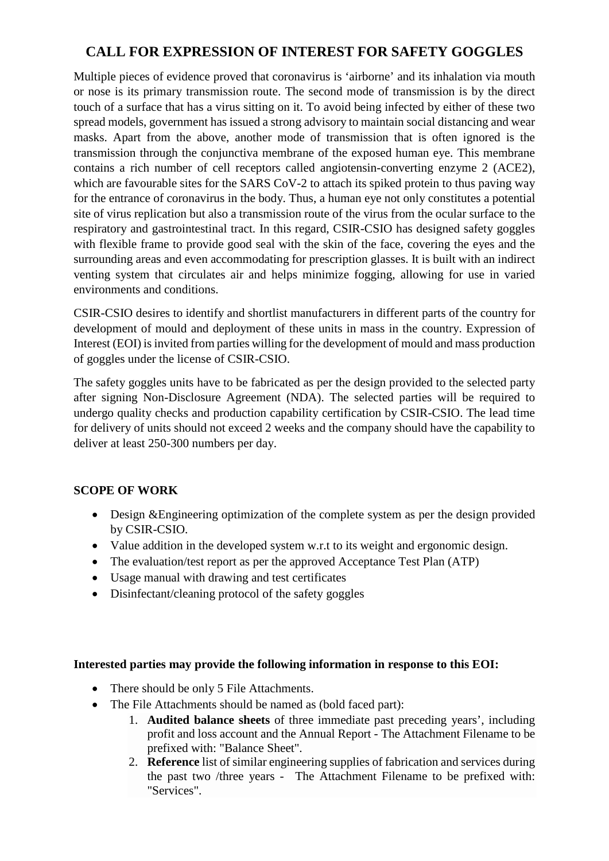### **CALL FOR EXPRESSION OF INTEREST FOR SAFETY GOGGLES**

Multiple pieces of evidence proved that coronavirus is 'airborne' and its inhalation via mouth or nose is its primary transmission route. The second mode of transmission is by the direct touch of a surface that has a virus sitting on it. To avoid being infected by either of these two spread models, government has issued a strong advisory to maintain social distancing and wear masks. Apart from the above, another mode of transmission that is often ignored is the transmission through the conjunctiva membrane of the exposed human eye. This membrane contains a rich number of cell receptors called angiotensin-converting enzyme 2 (ACE2), which are favourable sites for the SARS CoV-2 to attach its spiked protein to thus paving way for the entrance of coronavirus in the body. Thus, a human eye not only constitutes a potential site of virus replication but also a transmission route of the virus from the ocular surface to the respiratory and gastrointestinal tract. In this regard, CSIR-CSIO has designed safety goggles with flexible frame to provide good seal with the skin of the face, covering the eyes and the surrounding areas and even accommodating for prescription glasses. It is built with an indirect venting system that circulates air and helps minimize fogging, allowing for use in varied environments and conditions.

CSIR-CSIO desires to identify and shortlist manufacturers in different parts of the country for development of mould and deployment of these units in mass in the country. Expression of Interest (EOI) is invited from parties willing for the development of mould and mass production of goggles under the license of CSIR-CSIO.

The safety goggles units have to be fabricated as per the design provided to the selected party after signing Non-Disclosure Agreement (NDA). The selected parties will be required to undergo quality checks and production capability certification by CSIR-CSIO. The lead time for delivery of units should not exceed 2 weeks and the company should have the capability to deliver at least 250-300 numbers per day.

#### **SCOPE OF WORK**

- Design &Engineering optimization of the complete system as per the design provided by CSIR-CSIO.
- Value addition in the developed system w.r.t to its weight and ergonomic design.
- The evaluation/test report as per the approved Acceptance Test Plan (ATP)
- Usage manual with drawing and test certificates
- Disinfectant/cleaning protocol of the safety goggles

#### **Interested parties may provide the following information in response to this EOI:**

- There should be only 5 File Attachments.
- The File Attachments should be named as (bold faced part):
	- 1. **Audited balance sheets** of three immediate past preceding years', including profit and loss account and the Annual Report - The Attachment Filename to be prefixed with: "Balance Sheet".
	- 2. **Reference** list of similar engineering supplies of fabrication and services during the past two /three years - The Attachment Filename to be prefixed with: "Services".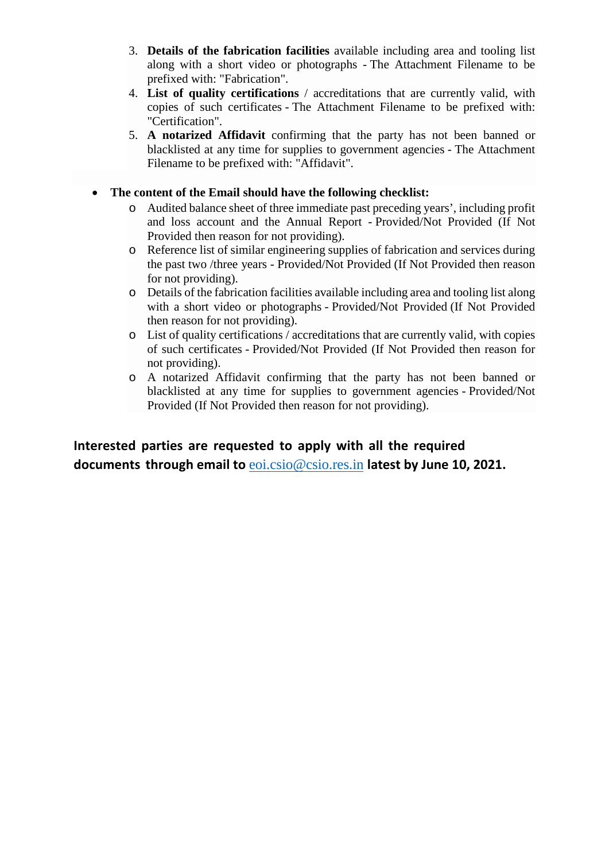- 3. **Details of the fabrication facilities** available including area and tooling list along with a short video or photographs - The Attachment Filename to be prefixed with: "Fabrication".
- 4. **List of quality certifications** / accreditations that are currently valid, with copies of such certificates - The Attachment Filename to be prefixed with: "Certification".
- 5. **A notarized Affidavit** confirming that the party has not been banned or blacklisted at any time for supplies to government agencies - The Attachment Filename to be prefixed with: "Affidavit".

#### • **The content of the Email should have the following checklist:**

- o Audited balance sheet of three immediate past preceding years', including profit and loss account and the Annual Report - Provided/Not Provided (If Not Provided then reason for not providing).
- o Reference list of similar engineering supplies of fabrication and services during the past two /three years - Provided/Not Provided (If Not Provided then reason for not providing).
- o Details of the fabrication facilities available including area and tooling list along with a short video or photographs - Provided/Not Provided (If Not Provided then reason for not providing).
- o List of quality certifications / accreditations that are currently valid, with copies of such certificates - Provided/Not Provided (If Not Provided then reason for not providing).
- o A notarized Affidavit confirming that the party has not been banned or blacklisted at any time for supplies to government agencies - Provided/Not Provided (If Not Provided then reason for not providing).

**Interested parties are requested to apply with all the required documents thro[ugh email to](mailto:eoi.csio@csio.res.in)** eoi.csio@csio.res.in **latest by June 10, 2021.**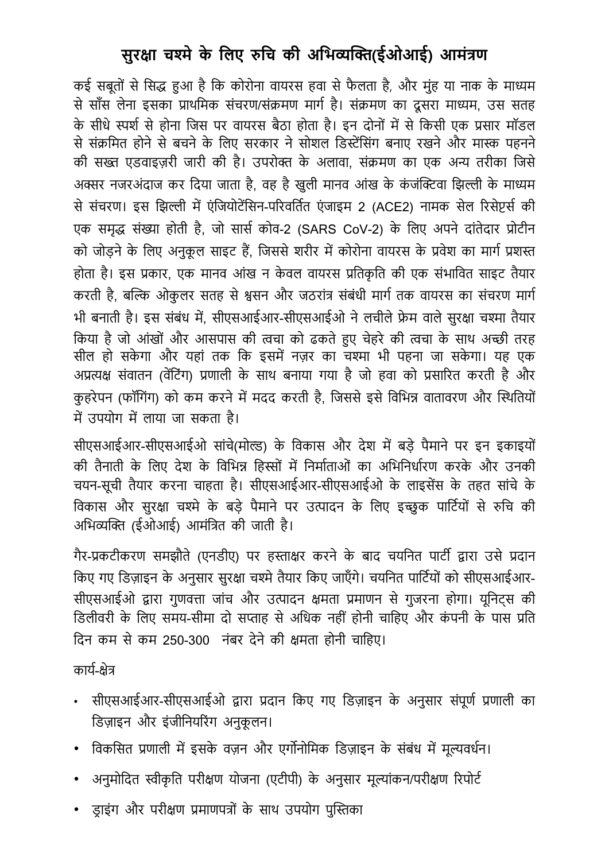## **सुर�ा च�ेके िलए �िच की अिभ���(ईओआई) आमंत्रण**

कई सबतों से सिद्ध हुआ है कि कोरोना वायरस हवा से फैलता है, और मुंह या नाक के माध्यम से साँस लेना इसका प्राथमिक संचरण/संक्रमण मार्ग है। संक्रमण का दूसरा माध्यम, उस सतह के सीधे स्पर्श से होना जिस पर वायरस बैठा होता है। इन दोनों में से किसी एक प्रसार मॉडल से संक्रमित होने से बचने के लिए सरकार ने सोशल डिस्टेंसिंग बनाए रखने और मास्क पहनने की सख्त एडवाइज़री जारी की है। उपरोक्त के अलावा, संक्रमण का एक अन्य तरीका जिसे अक्सर नजरअंदाज कर दिया जाता है, वह है खुली मानव आंख के कंजंक्टिवा झिल्ली के माध्यम से संचरण। इस झिल्ली में एंजियोटेंसिन-परिवर्तित एंजाइम 2 (ACE2) नामक सेल रिसेप्टर्स की एक समृद्ध संख्या होती है, जो सार्स कोव-2 (SARS CoV-2) के लिए अपने दांतेदार प्रोटीन को जोड़ने के लिए अनुकूल साइट हैं, जिससे शरीर में कोरोना वायरस के प्रवेश का मार्ग प्रशस्त होता है। इस प्रकार, एक मानव आंख न केवल वायरस प्रतिकृति की एक संभावित साइट तैयार करती है, बल्कि ओकुलर सतह से श्वसन और जठरांत्र संबंधी मार्ग तक वायरस का संचरण मार्ग भी बनाती है। इस संबंध में, सीएसआईआर-सीएसआईओ ने लचीले फ्रेम वाले सुरक्षा चश्मा तैयार किया है जो आंखों और आसपास की त्वचा को ढकते हुए चेहरे की त्वचा के साथ अच्छी तरह सील हो सकेगा और यहां तक कि इसमें नज़र का चश्मा भी पहना जा सकेगा। यह एक अप्रत्यक्ष संवातन (वेंटिंग) प्रणाली के साथ बनाया गया है जो हवा को प्रसारित करती है और कहरेपन (फॉगिंग) को कम करने में मदद करती है, जिससे इसे विभिन्न वातावरण और स्थितियों में उपयोग में लाया जा सकता है।

सीएसआईआर-सीएसआईओ सांचे(मोल्ड) के विकास और देश में बड़े पैमाने पर इन इकाइयों की तैनाती के लिए देश के विभिन्न हिस्सों में निर्माताओं का अभिनिर्धारण करके और उनकी चयन-सूची तैयार करना चाहता है। सीएसआईआर-सीएसआईओ के लाइसेंस के तहत सांचे के विकास और सुरक्षा चश्मे के बड़े पैमाने पर उत्पादन के लिए इच्छुक पार्टियों से रुचि की अभिव्यक्ति (ईओआई) आमंत्रित की जाती है।

गैर-प्रकटीकरण समझौते (एनडीए) पर हस्ताक्षर करने के बाद चयनित पार्टी द्वारा उसे प्रदान किए गए डिज़ाइन के अनुसार सुरक्षा चश्मे तैयार किए जाएँगे। चयनित पार्टियों को सीएसआईआर-सीएसआईओ द्वारा गुणवत्ता जांच और उत्पादन क्षमता प्रमाणन से गुजरना होगा। यूनिटस की डिलीवरी के लिए समय-सीमा दो सप्ताह से अधिक नहीं होनी चाहिए और कंपनी के पास प्रति िदन कम सेकम 250-300 नंबर देनेकी �मता होनी चािहए।

काय�-�ेत्र

- सीएसआईआर-सीएसआईओ �ारा प्रदान िकए गए िडज़ाइन के अनुसार संपूण� प्रणाली का डिज़ाइन और इंजीनियरिंग अनकलन।
- विकसित प्रणाली में इसके वज़न और एर्गोनोमिक डिज़ाइन के संबंध में मूल्यवर्धन।
- अनुमोदित स्वीकृति परीक्षण योजना (एटीपी) के अनुसार मूल्यांकन/परीक्षण रिपोर्ट
- ड़ाइंग और परीक्षण प्रमाणपत्रों के साथ उपयोग पुस्तिका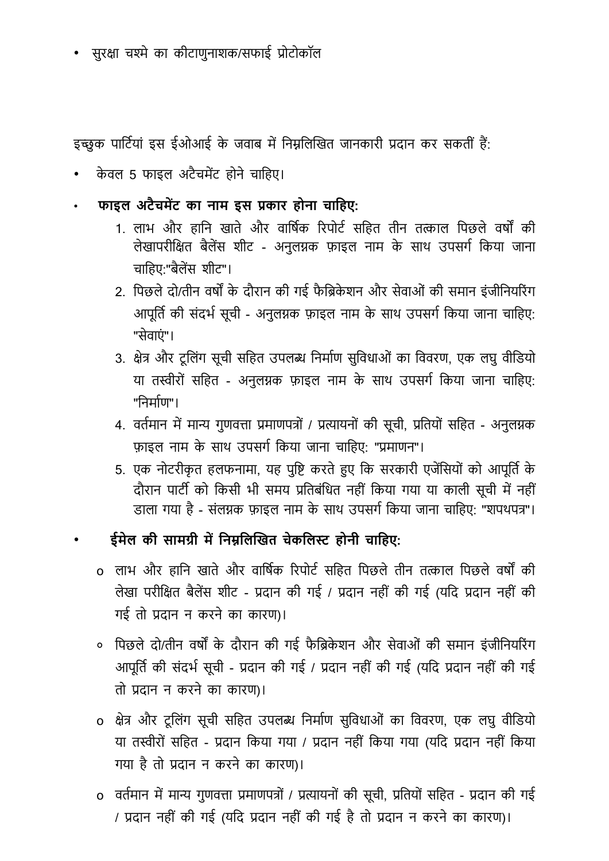• सुर�ा च�ेका कीटाणुनाशक/सफाई प्रोटोकॉल

इच्छुक पार्टियां इस ईओआई के जवाब में निम्नलिखित जानकारी प्रदान कर सकतीं हैं:

- केवल 5 फाइल अटैचमेंट होने चाहिए।
- **फाइल अटैचम�ट का नाम इस प्रकार होना चािहए:**
	- 1. लाभ और हानि खाते और वार्षिक रिपोर्ट सहित तीन तत्काल पिछले वर्षों की लेखापरीक्षित बैलेंस शीट - अनुलग्नक फ़ाइल नाम के साथ उपसर्ग किया जाना चाहिए:"बैलेंस शीट"।
	- 2. पिछले दो/तीन वर्षों के दौरान की गई फैब्रिकेशन और सेवाओं की समान इंजीनियरिंग आपूर्ति की संदर्भ सूची - अनुलग्नक फ़ाइल नाम के साथ उपसर्ग किया जाना चाहिए: "सेवाएं"।
	- 3. क्षेत्र और टूलिंग सूची सहित उपलब्ध निर्माण सुविधाओं का विवरण, एक लघु वीडियो या तस्वीरों सहित - अनुलग्नक फ़ाइल नाम के साथ उपसर्ग किया जाना चाहिए: "िनमा�ण"।
	- 4. वर्तमान में मान्य गुणवत्ता प्रमाणपत्रों / प्रत्यायनों की सूची, प्रतियों सहित अनुलग्नक फ़ाइल नाम के साथ उपसर्ग किया जाना चाहिए: "प्रमाणन"।
	- 5. एक नोटरीकृत हलफनामा, यह पुष्टि करते हुए कि सरकारी एजेंसियों को आपूर्ति के दौरान पार्टी को किसी भी समय प्रतिबंधित नहीं किया गया या काली सूची में नहीं डाला गया है - संलग्नक फ़ाइल नाम के साथ उपसर्ग किया जाना चाहिए: "शपथपत्र"।
	- **ईमेल की सामग्री म�िन�िल�खत चेकिल� होनी चािहए:**
		- o लाभ और हानि खाते और वार्षिक रिपोर्ट सहित पिछले तीन तत्काल पिछले वर्षों की लेखा परीि�त बैल�स शीट - प्रदान की गई / प्रदान नहीं की गई (यिद प्रदान नहीं की गई तो प्रदान न करनेका कारण)।
		- ०) पिछले दो/तीन वर्षों के दौरान की गई फैब्रिकेशन और सेवाओं की समान इंजीनियरिंग आपूर्ति की संदर्भ सूची - प्रदान की गई / प्रदान नहीं की गई (यदि प्रदान नहीं की गई तो प्रदान न करनेका कारण)।
		- o क्षेत्र और टूलिंग सूची सहित उपलब्ध निर्माण सुविधाओं का विवरण, एक लघु वीडियो या त�ीरों सिहत - प्रदान िकया गया / प्रदान नहीं िकया गया (यिद प्रदान नहीं िकया गया हैतो प्रदान न करने का कारण)।
		- o वर्तमान में मान्य गुणवत्ता प्रमाणपत्रों / प्रत्यायनों की सूची, प्रतियों सहित प्रदान की गई / प्रदान नहीं की गई (यिद प्रदान नहीं की गई हैतो प्रदान न करनेका कारण)।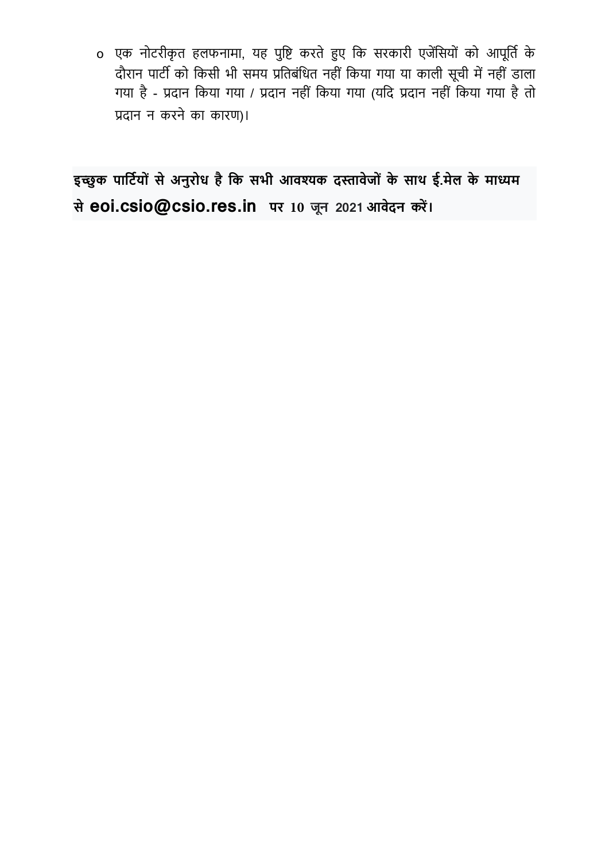o एक नोटरीकृत हलफनामा, यह पुष्टि करते हुए कि सरकारी एजेंसियों को आपूर्ति के दौरान पार्टी को किसी भी समय प्रतिबंधित नहीं किया गया या काली सूची में नहीं डाला गया है - प्रदान किया गया / प्रदान नहीं किया गया (यदि प्रदान नहीं किया गया है तो प्रदान न करनेका कारण)।

**इ�ुक पािट�यो ं सेअनुरोध हैिक सभी आव�क द�ावेजो ं के साथ ई.मेल के मा�म सेeoi.csio@csio.res.in पर 10 जून 2021 आवेदन कर� ।**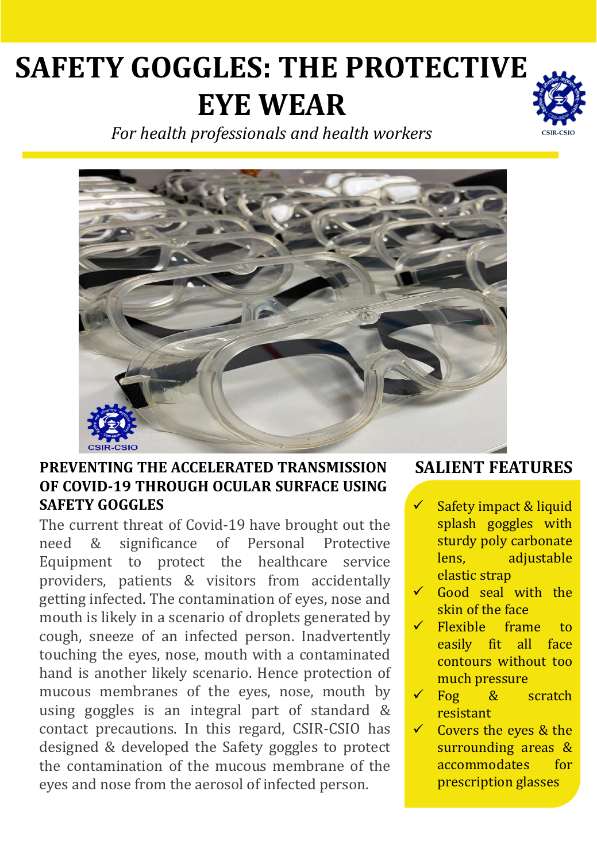# **SAFETY GOGGLES: THE PROTECTIVE EYE WEAR**



*For health professionals and health workers*



## **PREVENTING THE ACCELERATED TRANSMISSION OF COVID-19 THROUGH OCULAR SURFACE USING SAFETY GOGGLES**

The current threat of Covid-19 have brought out the need & significance of Personal Protective Equipment to protect the healthcare service providers, patients & visitors from accidentally getting infected. The contamination of eyes, nose and mouth is likely in a scenario of droplets generated by cough, sneeze of an infected person. Inadvertently touching the eyes, nose, mouth with a contaminated hand is another likely scenario. Hence protection of mucous membranes of the eyes, nose, mouth by using goggles is an integral part of standard & contact precautions. In this regard, CSIR-CSIO has designed & developed the Safety goggles to protect the contamination of the mucous membrane of the eyes and nose from the aerosol of infected person.

## **SALIENT FEATURES**

- Safety impact & liquid splash goggles with sturdy poly carbonate lens, adjustable elastic strap
- Good seal with the skin of the face
- Flexible frame to easily fit all face contours without too much pressure
- ✓ Fog & scratch resistant
- $\checkmark$  Covers the eyes & the surrounding areas & accommodates for prescription glasses